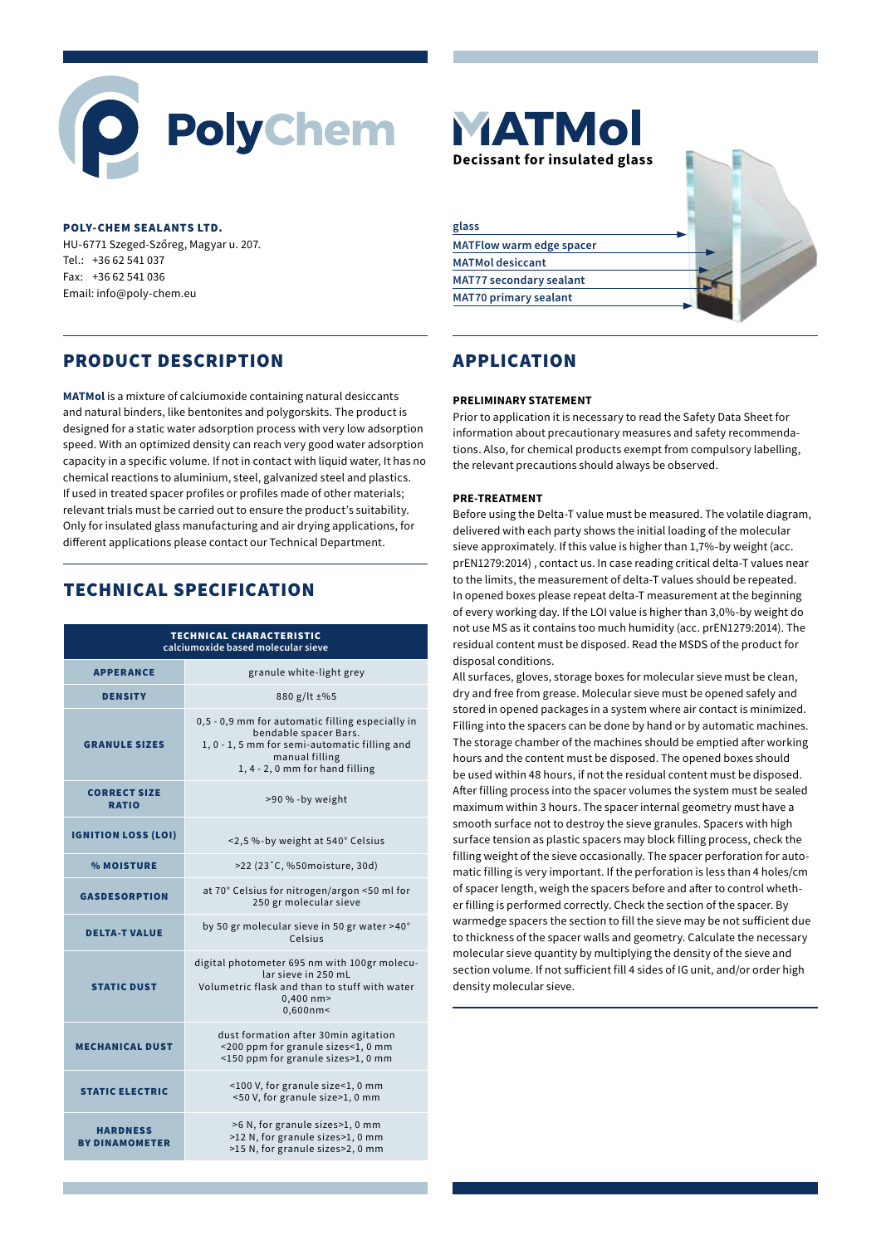# **PolyChem**

#### POLY-CHEM SEALANTS LTD.

HU-6771 Szeged-Szőreg, Magyar u. 207. Tel.: +36 62 541 037 Fax: +36 62 541 036 Email: info@poly-chem.eu

## PRODUCT DESCRIPTION

**MATMol** is a mixture of calciumoxide containing natural desiccants and natural binders, like bentonites and polygorskits. The product is designed for a static water adsorption process with very low adsorption speed. With an optimized density can reach very good water adsorption capacity in a specific volume. If not in contact with liquid water, It has no chemical reactions to aluminium, steel, galvanized steel and plastics. If used in treated spacer profiles or profiles made of other materials; relevant trials must be carried out to ensure the product's suitability. Only for insulated glass manufacturing and air drying applications, for different applications please contact our Technical Department.

# TECHNICAL SPECIFICATION

| <b>TECHNICAL CHARACTERISTIC</b><br>calciumoxide based molecular sieve |                                                                                                                                                                                 |
|-----------------------------------------------------------------------|---------------------------------------------------------------------------------------------------------------------------------------------------------------------------------|
| <b>APPERANCE</b>                                                      | granule white-light grey                                                                                                                                                        |
| <b>DENSITY</b>                                                        | 880 g/lt ±%5                                                                                                                                                                    |
| <b>GRANULE SIZES</b>                                                  | 0,5 - 0,9 mm for automatic filling especially in<br>bendable spacer Bars.<br>1, 0 - 1, 5 mm for semi-automatic filling and<br>manual filling<br>1, 4 - 2, 0 mm for hand filling |
| <b>CORRECT SIZE</b><br><b>RATIO</b>                                   | >90 % -by weight                                                                                                                                                                |
| <b>IGNITION LOSS (LOI)</b>                                            | <2,5%-by weight at 540° Celsius                                                                                                                                                 |
| <b>% MOISTURE</b>                                                     | >22 (23°C, %50moisture, 30d)                                                                                                                                                    |
| <b>GASDESORPTION</b>                                                  | at 70° Celsius for nitrogen/argon <50 ml for<br>250 gr molecular sieve                                                                                                          |
| <b>DELTA-T VALUE</b>                                                  | by 50 gr molecular sieve in 50 gr water >40°<br>Celsius                                                                                                                         |
| <b>STATIC DUST</b>                                                    | digital photometer 695 nm with 100gr molecu-<br>lar sieve in 250 mL<br>Volumetric flask and than to stuff with water<br>$0,400$ nm $>$<br>$0,600$ nm<                           |
| <b>MECHANICAL DUST</b>                                                | dust formation after 30min agitation<br><200 ppm for granule sizes<1, 0 mm<br><150 ppm for granule sizes>1, 0 mm                                                                |
| <b>STATIC ELECTRIC</b>                                                | <100 V, for granule size<1, 0 mm<br><50 V, for granule size>1, 0 mm                                                                                                             |
| <b>HARDNESS</b><br><b>BY DINAMOMETER</b>                              | >6 N, for granule sizes>1, 0 mm<br>>12 N, for granule sizes>1, 0 mm<br>>15 N, for granule sizes>2, 0 mm                                                                         |



# APPLICATION

#### **PRELIMINARY STATEMENT**

Prior to application it is necessary to read the Safety Data Sheet for information about precautionary measures and safety recommendations. Also, for chemical products exempt from compulsory labelling, the relevant precautions should always be observed.

#### **PRE-TREATMENT**

Before using the Delta-T value must be measured. The volatile diagram, delivered with each party shows the initial loading of the molecular sieve approximately. If this value is higher than 1,7%-by weight (acc. prEN1279:2014) , contact us. In case reading critical delta-T values near to the limits, the measurement of delta-T values should be repeated. In opened boxes please repeat delta-T measurement at the beginning of every working day. If the LOI value is higher than 3,0%-by weight do not use MS as it contains too much humidity (acc. prEN1279:2014). The residual content must be disposed. Read the MSDS of the product for disposal conditions.

All surfaces, gloves, storage boxes for molecular sieve must be clean, dry and free from grease. Molecular sieve must be opened safely and stored in opened packages in a system where air contact is minimized. Filling into the spacers can be done by hand or by automatic machines. The storage chamber of the machines should be emptied after working hours and the content must be disposed. The opened boxes should be used within 48 hours, if not the residual content must be disposed. After filling process into the spacer volumes the system must be sealed maximum within 3 hours. The spacer internal geometry must have a smooth surface not to destroy the sieve granules. Spacers with high surface tension as plastic spacers may block filling process, check the filling weight of the sieve occasionally. The spacer perforation for automatic filling is very important. If the perforation is less than 4 holes/cm of spacer length, weigh the spacers before and after to control whether filling is performed correctly. Check the section of the spacer. By warmedge spacers the section to fill the sieve may be not sufficient due to thickness of the spacer walls and geometry. Calculate the necessary molecular sieve quantity by multiplying the density of the sieve and section volume. If not sufficient fill 4 sides of IG unit, and/or order high density molecular sieve.